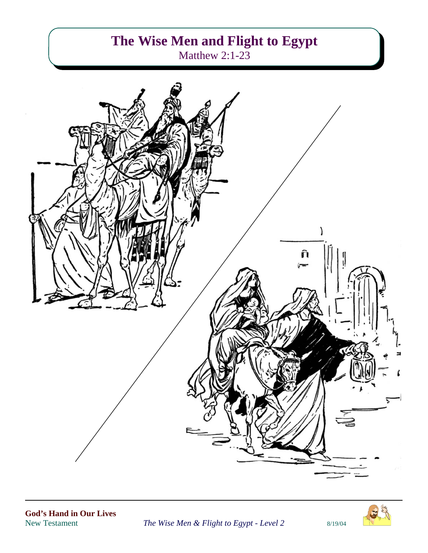# **The Wise Men and Flight to Egypt** Matthew 2:1-23



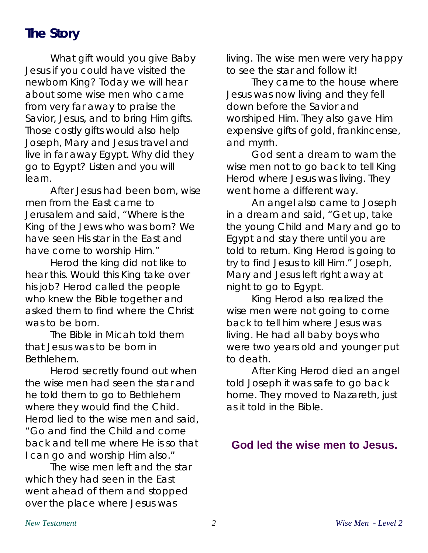# **The Story**

What gift would you give Baby Jesus if you could have visited the newborn King? Today we will hear about some wise men who came from very far away to praise the Savior, Jesus, and to bring Him gifts. Those costly gifts would also help Joseph, Mary and Jesus travel and live in far away Egypt. Why did they go to Egypt? Listen and you will learn.

After Jesus had been born, wise men from the East came to Jerusalem and said, "Where is the King of the Jews who was born? We have seen His star in the East and have come to worship Him."

Herod the king did not like to hear this. Would this King take over his job? Herod called the people who knew the Bible together and asked them to find where the Christ was to be born.

The Bible in Micah told them that Jesus was to be born in Bethlehem.

Herod secretly found out when the wise men had seen the star and he told them to go to Bethlehem where they would find the Child. Herod lied to the wise men and said, "Go and find the Child and come back and tell me where He is so that I can go and worship Him also."

The wise men left and the star which they had seen in the East went ahead of them and stopped over the place where Jesus was

living. The wise men were very happy to see the star and follow it!

They came to the house where Jesus was now living and they fell down before the Savior and worshiped Him. They also gave Him expensive gifts of gold, frankincense, and myrrh.

God sent a dream to warn the wise men not to go back to tell King Herod where Jesus was living. They went home a different way.

An angel also came to Joseph in a dream and said, "Get up, take the young Child and Mary and go to Egypt and stay there until you are told to return. King Herod is going to try to find Jesus to kill Him." Joseph, Mary and Jesus left right away at night to go to Egypt.

King Herod also realized the wise men were not going to come back to tell him where Jesus was living. He had all baby boys who were two years old and younger put to death.

After King Herod died an angel told Joseph it was safe to go back home. They moved to Nazareth, just as it told in the Bible.

#### **God led the wise men to Jesus.**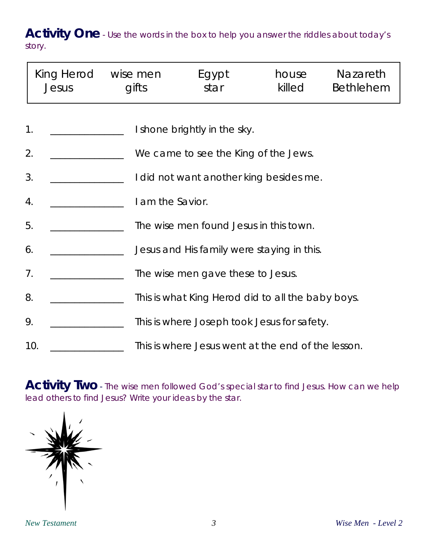Activity One - Use the words in the box to help you answer the riddles about today's story.

|    | King Herod wise men<br>Jesus                              | gifts                                                      | Egypt<br>star                               | house<br>killed | <b>Nazareth</b><br>Bethlehem |  |
|----|-----------------------------------------------------------|------------------------------------------------------------|---------------------------------------------|-----------------|------------------------------|--|
|    | 1.<br>I shone brightly in the sky.                        |                                                            |                                             |                 |                              |  |
| 2. | We came to see the King of the Jews.                      |                                                            |                                             |                 |                              |  |
|    | 3.                                                        | I did not want another king besides me.                    |                                             |                 |                              |  |
|    | 4.<br>5.                                                  | I am the Savior.<br>The wise men found Jesus in this town. |                                             |                 |                              |  |
|    | 6.                                                        | Jesus and His family were staying in this.                 |                                             |                 |                              |  |
|    | 7 <sub>1</sub>                                            | The wise men gave these to Jesus.                          |                                             |                 |                              |  |
|    | 8.                                                        | This is what King Herod did to all the baby boys.          |                                             |                 |                              |  |
|    | 9.                                                        |                                                            | This is where Joseph took Jesus for safety. |                 |                              |  |
|    | 10.<br>This is where Jesus went at the end of the lesson. |                                                            |                                             |                 |                              |  |

Activity Two - The wise men followed God's special star to find Jesus. How can we help lead others to find Jesus? Write your ideas by the star.